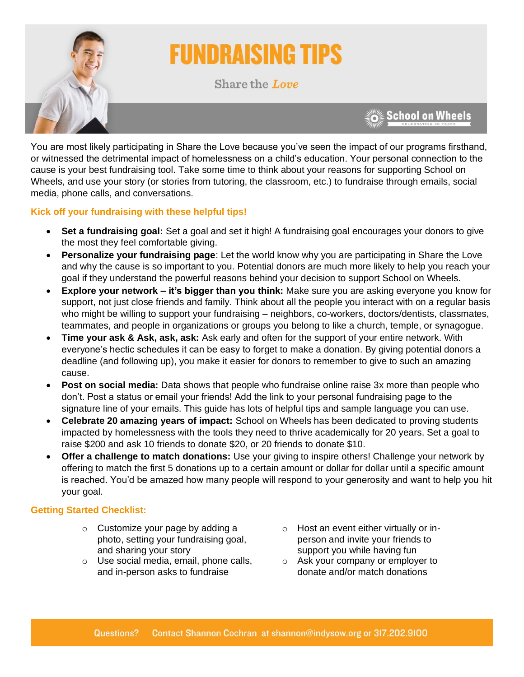

# **FUNDRAISING TIPS**

Share the Love

**School on Wheels** 

You are most likely participating in Share the Love because you've seen the impact of our programs firsthand, or witnessed the detrimental impact of homelessness on a child's education. Your personal connection to the cause is your best fundraising tool. Take some time to think about your reasons for supporting School on Wheels, and use your story (or stories from tutoring, the classroom, etc.) to fundraise through emails, social media, phone calls, and conversations.

# **Kick off your fundraising with these helpful tips!**

- **Set a fundraising goal:** Set a goal and set it high! A fundraising goal encourages your donors to give the most they feel comfortable giving.
- **Personalize your fundraising page**: Let the world know why you are participating in Share the Love and why the cause is so important to you. Potential donors are much more likely to help you reach your goal if they understand the powerful reasons behind your decision to support School on Wheels.
- **Explore your network – it's bigger than you think:** Make sure you are asking everyone you know for support, not just close friends and family. Think about all the people you interact with on a regular basis who might be willing to support your fundraising – neighbors, co-workers, doctors/dentists, classmates, teammates, and people in organizations or groups you belong to like a church, temple, or synagogue.
- **Time your ask & Ask, ask, ask:** Ask early and often for the support of your entire network. With everyone's hectic schedules it can be easy to forget to make a donation. By giving potential donors a deadline (and following up), you make it easier for donors to remember to give to such an amazing cause.
- **Post on social media:** Data shows that people who fundraise online raise 3x more than people who don't. Post a status or email your friends! Add the link to your personal fundraising page to the signature line of your emails. This guide has lots of helpful tips and sample language you can use.
- **Celebrate 20 amazing years of impact:** School on Wheels has been dedicated to proving students impacted by homelessness with the tools they need to thrive academically for 20 years. Set a goal to raise \$200 and ask 10 friends to donate \$20, or 20 friends to donate \$10.
- **Offer a challenge to match donations:** Use your giving to inspire others! Challenge your network by offering to match the first 5 donations up to a certain amount or dollar for dollar until a specific amount is reached. You'd be amazed how many people will respond to your generosity and want to help you hit your goal.

# **Getting Started Checklist:**

- o Customize your page by adding a photo, setting your fundraising goal, and sharing your story
- o Use social media, email, phone calls, and in-person asks to fundraise
- o Host an event either virtually or inperson and invite your friends to support you while having fun
- o Ask your company or employer to donate and/or match donations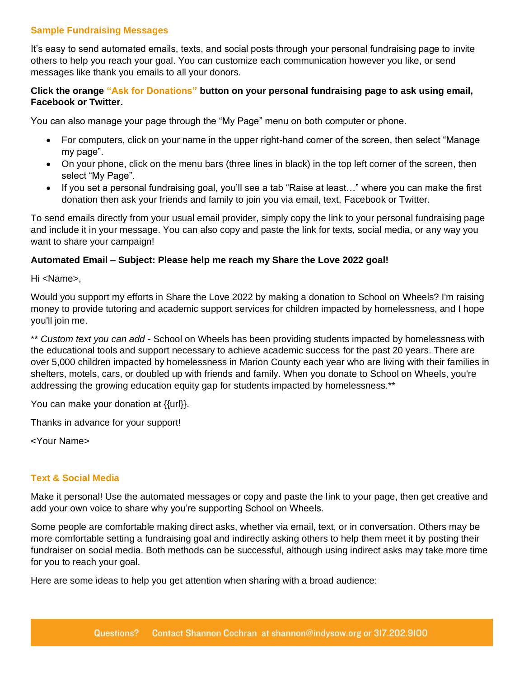## **Sample Fundraising Messages**

It's easy to send automated emails, texts, and social posts through your personal fundraising page to invite others to help you reach your goal. You can customize each communication however you like, or send messages like thank you emails to all your donors.

## **Click the orange "Ask for Donations" button on your personal fundraising page to ask using email, Facebook or Twitter.**

You can also manage your page through the "My Page" menu on both computer or phone.

- For computers, click on your name in the upper right-hand corner of the screen, then select "Manage my page".
- On your phone, click on the menu bars (three lines in black) in the top left corner of the screen, then select "My Page".
- If you set a personal fundraising goal, you'll see a tab "Raise at least…" where you can make the first donation then ask your friends and family to join you via email, text, Facebook or Twitter.

To send emails directly from your usual email provider, simply copy the link to your personal fundraising page and include it in your message. You can also copy and paste the link for texts, social media, or any way you want to share your campaign!

### **Automated Email – Subject: Please help me reach my Share the Love 2022 goal!**

Hi <Name>,

Would you support my efforts in Share the Love 2022 by making a donation to School on Wheels? I'm raising money to provide tutoring and academic support services for children impacted by homelessness, and I hope you'll join me.

\*\* *Custom text you can add* - School on Wheels has been providing students impacted by homelessness with the educational tools and support necessary to achieve academic success for the past 20 years. There are over 5,000 children impacted by homelessness in Marion County each year who are living with their families in shelters, motels, cars, or doubled up with friends and family. When you donate to School on Wheels, you're addressing the growing education equity gap for students impacted by homelessness.\*\*

You can make your donation at {{url}}.

Thanks in advance for your support!

<Your Name>

### **Text & Social Media**

Make it personal! Use the automated messages or copy and paste the link to your page, then get creative and add your own voice to share why you're supporting School on Wheels.

Some people are comfortable making direct asks, whether via email, text, or in conversation. Others may be more comfortable setting a fundraising goal and indirectly asking others to help them meet it by posting their fundraiser on social media. Both methods can be successful, although using indirect asks may take more time for you to reach your goal.

Here are some ideas to help you get attention when sharing with a broad audience: